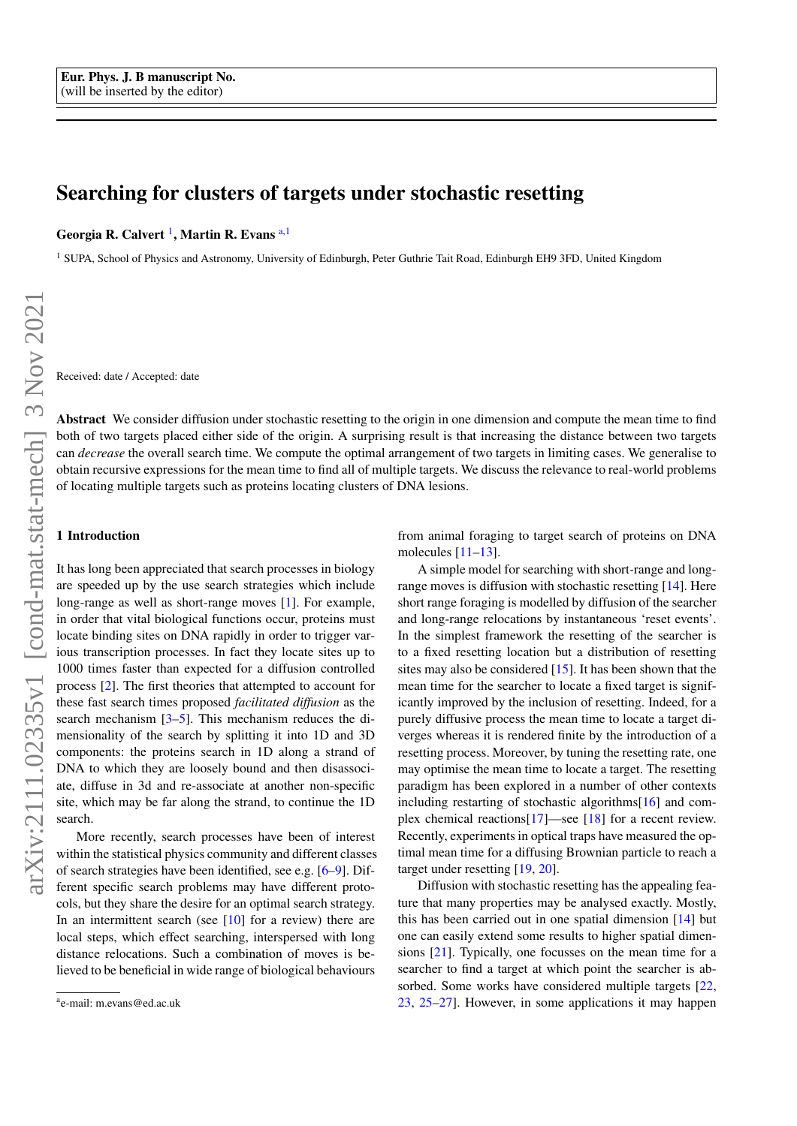# Searching for clusters of targets under stochastic resetting

Georgia R. Calvert <sup>1</sup>, Martin R. Evans <sup>[a,](#page-0-0)1</sup>

<sup>1</sup> SUPA, School of Physics and Astronomy, University of Edinburgh, Peter Guthrie Tait Road, Edinburgh EH9 3FD, United Kingdom

Received: date / Accepted: date

Abstract We consider diffusion under stochastic resetting to the origin in one dimension and compute the mean time to find both of two targets placed either side of the origin. A surprising result is that increasing the distance between two targets can *decrease* the overall search time. We compute the optimal arrangement of two targets in limiting cases. We generalise to obtain recursive expressions for the mean time to find all of multiple targets. We discuss the relevance to real-world problems of locating multiple targets such as proteins locating clusters of DNA lesions.

#### 1 Introduction

It has long been appreciated that search processes in biology are speeded up by the use search strategies which include long-range as well as short-range moves [\[1\]](#page-7-0). For example, in order that vital biological functions occur, proteins must locate binding sites on DNA rapidly in order to trigger various transcription processes. In fact they locate sites up to 1000 times faster than expected for a diffusion controlled process [\[2\]](#page-7-1). The first theories that attempted to account for these fast search times proposed *facilitated diffusion* as the search mechanism [\[3–](#page-7-2)[5\]](#page-7-3). This mechanism reduces the dimensionality of the search by splitting it into 1D and 3D components: the proteins search in 1D along a strand of DNA to which they are loosely bound and then disassociate, diffuse in 3d and re-associate at another non-specific site, which may be far along the strand, to continue the 1D search.

More recently, search processes have been of interest within the statistical physics community and different classes of search strategies have been identified, see e.g. [\[6](#page-7-4)[–9\]](#page-7-5). Different specific search problems may have different protocols, but they share the desire for an optimal search strategy. In an intermittent search (see  $[10]$  for a review) there are local steps, which effect searching, interspersed with long distance relocations. Such a combination of moves is believed to be beneficial in wide range of biological behaviours

from animal foraging to target search of proteins on DNA molecules [\[11](#page-7-7)[–13\]](#page-7-8).

A simple model for searching with short-range and longrange moves is diffusion with stochastic resetting [\[14\]](#page-7-9). Here short range foraging is modelled by diffusion of the searcher and long-range relocations by instantaneous 'reset events'. In the simplest framework the resetting of the searcher is to a fixed resetting location but a distribution of resetting sites may also be considered [\[15\]](#page-7-10). It has been shown that the mean time for the searcher to locate a fixed target is significantly improved by the inclusion of resetting. Indeed, for a purely diffusive process the mean time to locate a target diverges whereas it is rendered finite by the introduction of a resetting process. Moreover, by tuning the resetting rate, one may optimise the mean time to locate a target. The resetting paradigm has been explored in a number of other contexts including restarting of stochastic algorithms[\[16\]](#page-7-11) and complex chemical reactions[\[17\]](#page-7-12)—see [\[18\]](#page-7-13) for a recent review. Recently, experiments in optical traps have measured the optimal mean time for a diffusing Brownian particle to reach a target under resetting [\[19,](#page-7-14) [20\]](#page-7-15).

Diffusion with stochastic resetting has the appealing feature that many properties may be analysed exactly. Mostly, this has been carried out in one spatial dimension [\[14\]](#page-7-9) but one can easily extend some results to higher spatial dimensions [\[21\]](#page-7-16). Typically, one focusses on the mean time for a searcher to find a target at which point the searcher is ab-sorbed. Some works have considered multiple targets [\[22,](#page-7-17) [23,](#page-7-18) [25](#page-7-19)[–27\]](#page-7-20). However, in some applications it may happen

<span id="page-0-0"></span>a e-mail: m.evans@ed.ac.uk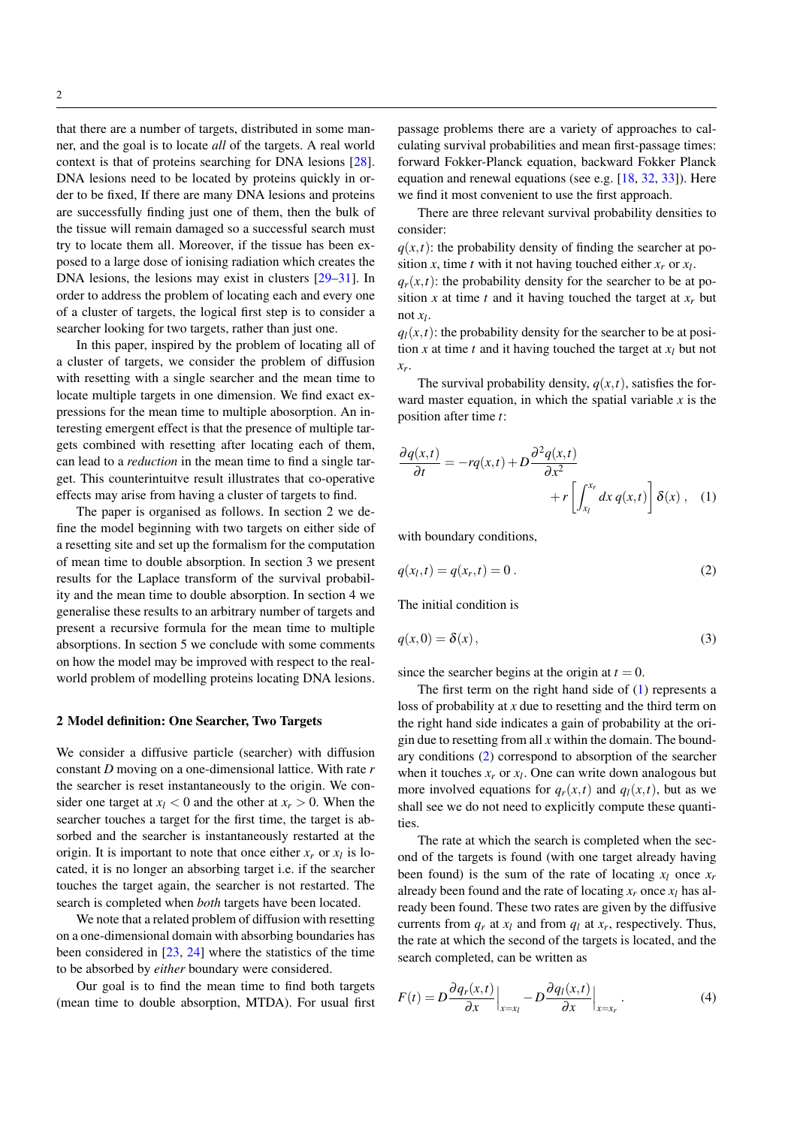that there are a number of targets, distributed in some manner, and the goal is to locate *all* of the targets. A real world context is that of proteins searching for DNA lesions [\[28\]](#page-7-21). DNA lesions need to be located by proteins quickly in order to be fixed, If there are many DNA lesions and proteins are successfully finding just one of them, then the bulk of the tissue will remain damaged so a successful search must try to locate them all. Moreover, if the tissue has been exposed to a large dose of ionising radiation which creates the DNA lesions, the lesions may exist in clusters [\[29–](#page-7-22)[31\]](#page-7-23). In order to address the problem of locating each and every one of a cluster of targets, the logical first step is to consider a searcher looking for two targets, rather than just one.

In this paper, inspired by the problem of locating all of a cluster of targets, we consider the problem of diffusion with resetting with a single searcher and the mean time to locate multiple targets in one dimension. We find exact expressions for the mean time to multiple abosorption. An interesting emergent effect is that the presence of multiple targets combined with resetting after locating each of them, can lead to a *reduction* in the mean time to find a single target. This counterintuitve result illustrates that co-operative effects may arise from having a cluster of targets to find.

The paper is organised as follows. In section 2 we define the model beginning with two targets on either side of a resetting site and set up the formalism for the computation of mean time to double absorption. In section 3 we present results for the Laplace transform of the survival probability and the mean time to double absorption. In section 4 we generalise these results to an arbitrary number of targets and present a recursive formula for the mean time to multiple absorptions. In section 5 we conclude with some comments on how the model may be improved with respect to the realworld problem of modelling proteins locating DNA lesions.

#### 2 Model definition: One Searcher, Two Targets

We consider a diffusive particle (searcher) with diffusion constant *D* moving on a one-dimensional lattice. With rate *r* the searcher is reset instantaneously to the origin. We consider one target at  $x_l < 0$  and the other at  $x_r > 0$ . When the searcher touches a target for the first time, the target is absorbed and the searcher is instantaneously restarted at the origin. It is important to note that once either  $x_r$  or  $x_l$  is located, it is no longer an absorbing target i.e. if the searcher touches the target again, the searcher is not restarted. The search is completed when *both* targets have been located.

We note that a related problem of diffusion with resetting on a one-dimensional domain with absorbing boundaries has been considered in [\[23,](#page-7-18) [24\]](#page-7-24) where the statistics of the time to be absorbed by *either* boundary were considered.

Our goal is to find the mean time to find both targets (mean time to double absorption, MTDA). For usual first passage problems there are a variety of approaches to calculating survival probabilities and mean first-passage times: forward Fokker-Planck equation, backward Fokker Planck equation and renewal equations (see e.g. [\[18,](#page-7-13) [32,](#page-7-25) [33\]](#page-7-26)). Here we find it most convenient to use the first approach.

There are three relevant survival probability densities to consider:

 $q(x,t)$ : the probability density of finding the searcher at position *x*, time *t* with it not having touched either  $x_r$  or  $x_l$ .

 $q_r(x,t)$ : the probability density for the searcher to be at position *x* at time *t* and it having touched the target at  $x_r$  but not *x<sup>l</sup>* .

 $q_l(x,t)$ : the probability density for the searcher to be at position *x* at time *t* and it having touched the target at  $x_l$  but not *xr* .

The survival probability density,  $q(x,t)$ , satisfies the forward master equation, in which the spatial variable *x* is the position after time *t*:

<span id="page-1-0"></span>
$$
\frac{\partial q(x,t)}{\partial t} = -rq(x,t) + D \frac{\partial^2 q(x,t)}{\partial x^2} + r \left[ \int_{x_l}^{x_r} dx \, q(x,t) \right] \delta(x) , \quad (1)
$$

<span id="page-1-1"></span>with boundary conditions,

$$
q(x_l, t) = q(x_r, t) = 0.
$$
 (2)

The initial condition is

$$
q(x,0) = \delta(x),\tag{3}
$$

since the searcher begins at the origin at  $t = 0$ .

The first term on the right hand side of  $(1)$  represents a loss of probability at *x* due to resetting and the third term on the right hand side indicates a gain of probability at the origin due to resetting from all *x* within the domain. The boundary conditions [\(2\)](#page-1-1) correspond to absorption of the searcher when it touches  $x_r$  or  $x_l$ . One can write down analogous but more involved equations for  $q_r(x,t)$  and  $q_l(x,t)$ , but as we shall see we do not need to explicitly compute these quantities.

The rate at which the search is completed when the second of the targets is found (with one target already having been found) is the sum of the rate of locating  $x_l$  once  $x_r$ already been found and the rate of locating  $x_r$  once  $x_l$  has already been found. These two rates are given by the diffusive currents from  $q_r$  at  $x_l$  and from  $q_l$  at  $x_r$ , respectively. Thus, the rate at which the second of the targets is located, and the search completed, can be written as

$$
F(t) = D \frac{\partial q_r(x,t)}{\partial x} \Big|_{x=x_l} - D \frac{\partial q_l(x,t)}{\partial x} \Big|_{x=x_r} . \tag{4}
$$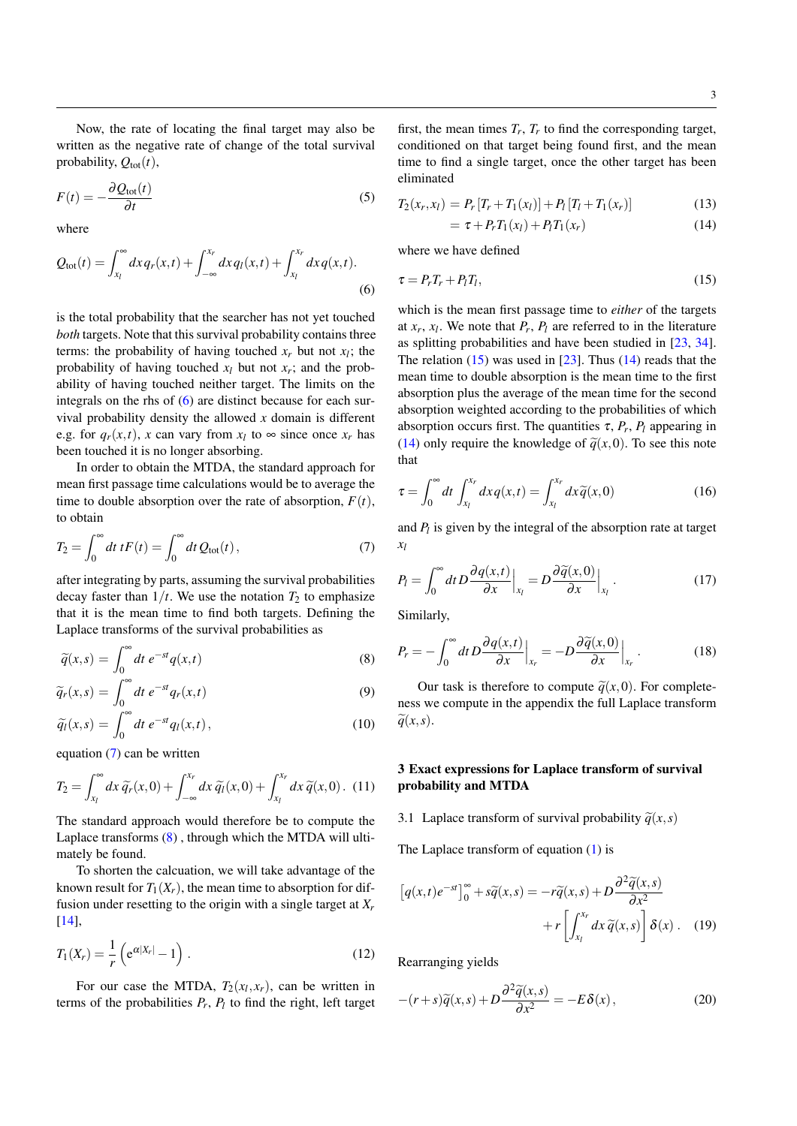Now, the rate of locating the final target may also be written as the negative rate of change of the total survival probability,  $Q_{\text{tot}}(t)$ ,

$$
F(t) = -\frac{\partial Q_{\text{tot}}(t)}{\partial t}
$$
\n<sup>(5)</sup>

<span id="page-2-0"></span>where

$$
Q_{\text{tot}}(t) = \int_{x_l}^{\infty} dx q_r(x,t) + \int_{-\infty}^{x_r} dx q_l(x,t) + \int_{x_l}^{x_r} dx q(x,t).
$$
\n(6)

is the total probability that the searcher has not yet touched *both* targets. Note that this survival probability contains three terms: the probability of having touched  $x_r$  but not  $x_l$ ; the probability of having touched  $x_l$  but not  $x_r$ ; and the probability of having touched neither target. The limits on the integrals on the rhs of [\(6\)](#page-2-0) are distinct because for each survival probability density the allowed *x* domain is different e.g. for  $q_r(x,t)$ , *x* can vary from  $x_l$  to  $\infty$  since once  $x_r$  has been touched it is no longer absorbing.

In order to obtain the MTDA, the standard approach for mean first passage time calculations would be to average the time to double absorption over the rate of absorption,  $F(t)$ , to obtain

<span id="page-2-1"></span>
$$
T_2 = \int_0^\infty dt \, tF(t) = \int_0^\infty dt \, Q_{\text{tot}}(t) \,,\tag{7}
$$

after integrating by parts, assuming the survival probabilities decay faster than  $1/t$ . We use the notation  $T_2$  to emphasize that it is the mean time to find both targets. Defining the Laplace transforms of the survival probabilities as

<span id="page-2-2"></span>
$$
\widetilde{q}(x,s) = \int_0^\infty dt \ e^{-st} q(x,t) \tag{8}
$$

$$
\widetilde{q}_r(x,s) = \int_0^\infty dt \ e^{-st} q_r(x,t) \tag{9}
$$

$$
\widetilde{q_l}(x,s) = \int_0^\infty dt \ e^{-st} q_l(x,t) \,, \tag{10}
$$

equation [\(7\)](#page-2-1) can be written

$$
T_2 = \int_{x_l}^{\infty} dx \,\widetilde{q}_r(x,0) + \int_{-\infty}^{x_r} dx \,\widetilde{q}_l(x,0) + \int_{x_l}^{x_r} dx \,\widetilde{q}(x,0). \tag{11}
$$

The standard approach would therefore be to compute the Laplace transforms [\(8\)](#page-2-2) , through which the MTDA will ultimately be found.

To shorten the calcuation, we will take advantage of the known result for  $T_1(X_r)$ , the mean time to absorption for diffusion under resetting to the origin with a single target at *X<sup>r</sup>* [\[14\]](#page-7-9),

<span id="page-2-7"></span>
$$
T_1(X_r) = \frac{1}{r} \left( e^{\alpha |X_r|} - 1 \right).
$$
 (12)

For our case the MTDA,  $T_2(x_l, x_r)$ , can be written in terms of the probabilities  $P_r$ ,  $P_l$  to find the right, left target

first, the mean times  $T_r$ ,  $T_r$  to find the corresponding target, conditioned on that target being found first, and the mean time to find a single target, once the other target has been eliminated

<span id="page-2-4"></span>
$$
T_2(x_r, x_l) = P_r[T_r + T_1(x_l)] + P_l[T_l + T_1(x_r)] \tag{13}
$$

<span id="page-2-3"></span>
$$
= \tau + P_r T_1(x_l) + P_l T_1(x_r) \tag{14}
$$

where we have defined

$$
\tau = P_r T_r + P_l T_l,\tag{15}
$$

which is the mean first passage time to *either* of the targets at  $x_r$ ,  $x_l$ . We note that  $P_r$ ,  $P_l$  are referred to in the literature as splitting probabilities and have been studied in [\[23,](#page-7-18) [34\]](#page-7-27). The relation  $(15)$  was used in [\[23\]](#page-7-18). Thus  $(14)$  reads that the mean time to double absorption is the mean time to the first absorption plus the average of the mean time for the second absorption weighted according to the probabilities of which absorption occurs first. The quantities  $\tau$ ,  $P_r$ ,  $P_l$  appearing in [\(14\)](#page-2-4) only require the knowledge of  $\tilde{q}(x,0)$ . To see this note that

<span id="page-2-6"></span>
$$
\tau = \int_0^\infty dt \int_{x_l}^{x_r} dx \, q(x, t) = \int_{x_l}^{x_r} dx \, \widetilde{q}(x, 0) \tag{16}
$$

and  $P_l$  is given by the integral of the absorption rate at target *xl*

$$
P_l = \int_0^\infty dt \, D \frac{\partial q(x, t)}{\partial x} \Big|_{x_l} = D \frac{\partial \widetilde{q}(x, 0)}{\partial x} \Big|_{x_l} \,. \tag{17}
$$

Similarly,

$$
P_r = -\int_0^\infty dt \, D \frac{\partial q(x,t)}{\partial x} \Big|_{x_r} = -D \frac{\partial \widetilde{q}(x,0)}{\partial x} \Big|_{x_r} \,. \tag{18}
$$

Our task is therefore to compute  $\tilde{q}(x,0)$ . For completeness we compute in the appendix the full Laplace transform  $\widetilde{q}(x,s)$ .

# 3 Exact expressions for Laplace transform of survival probability and MTDA

3.1 Laplace transform of survival probability  $\tilde{q}(x, s)$ 

The Laplace transform of equation [\(1\)](#page-1-0) is

$$
\left[q(x,t)e^{-st}\right]_0^\infty + s\widetilde{q}(x,s) = -r\widetilde{q}(x,s) + D\frac{\partial^2 \widetilde{q}(x,s)}{\partial x^2} + r\left[\int_{x_l}^{x_r} dx \, \widetilde{q}(x,s)\right] \delta(x) \,. \tag{19}
$$

<span id="page-2-5"></span>Rearranging yields

$$
-(r+s)\widetilde{q}(x,s) + D\frac{\partial^2 \widetilde{q}(x,s)}{\partial x^2} = -E\delta(x),\tag{20}
$$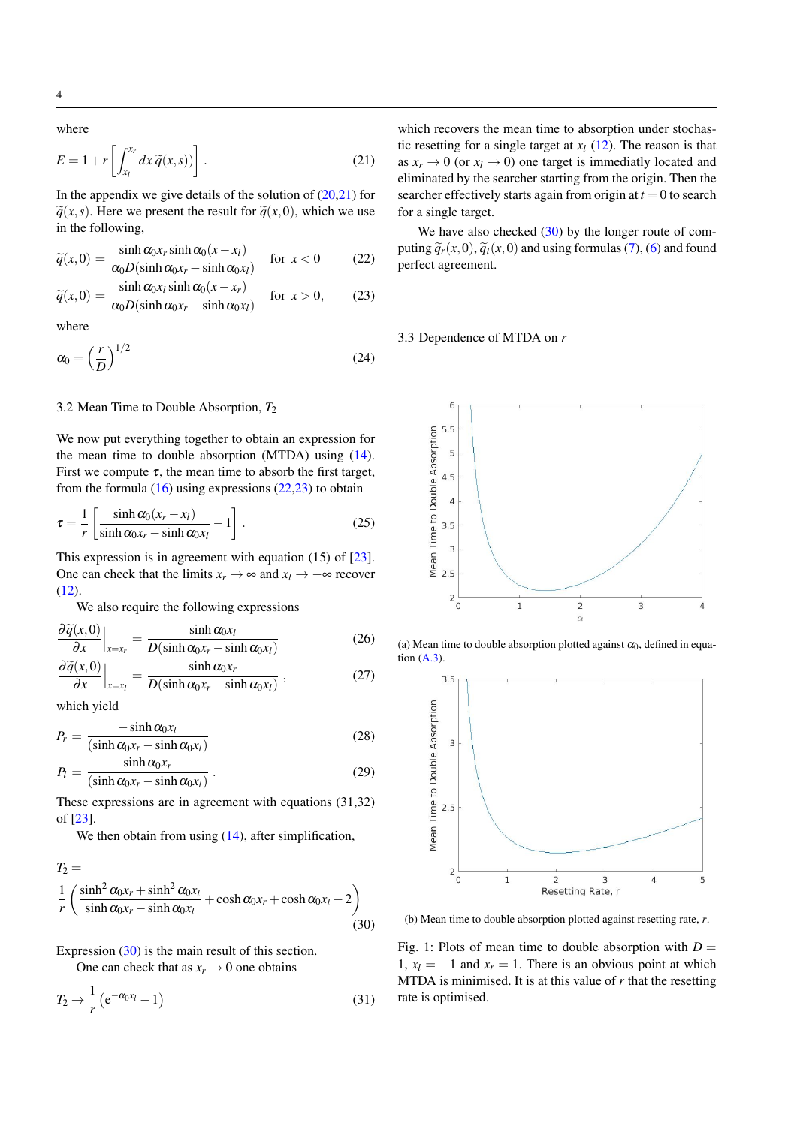<span id="page-3-0"></span>4

$$
E = 1 + r \left[ \int_{x_l}^{x_r} dx \, \widetilde{q}(x, s) \right]. \tag{21}
$$

In the appendix we give details of the solution of  $(20,21)$  $(20,21)$  for  $\tilde{q}(x, s)$ . Here we present the result for  $\tilde{q}(x, 0)$ , which we use in the following,

<span id="page-3-1"></span>
$$
\widetilde{q}(x,0) = \frac{\sinh \alpha_0 x_r \sinh \alpha_0 (x - x_l)}{\alpha_0 D(\sinh \alpha_0 x_r - \sinh \alpha_0 x_l)} \quad \text{for } x < 0 \tag{22}
$$

$$
\widetilde{q}(x,0) = \frac{\sinh \alpha_0 x_l \sinh \alpha_0 (x - x_r)}{\alpha_0 D(\sinh \alpha_0 x_r - \sinh \alpha_0 x_l)} \quad \text{for } x > 0,
$$
 (23)

where

$$
\alpha_0 = \left(\frac{r}{D}\right)^{1/2} \tag{24}
$$

## 3.2 Mean Time to Double Absorption,  $T_2$

We now put everything together to obtain an expression for the mean time to double absorption (MTDA) using [\(14\)](#page-2-4). First we compute  $\tau$ , the mean time to absorb the first target, from the formula  $(16)$  using expressions  $(22,23)$  to obtain

$$
\tau = \frac{1}{r} \left[ \frac{\sinh \alpha_0 (x_r - x_l)}{\sinh \alpha_0 x_r - \sinh \alpha_0 x_l} - 1 \right].
$$
 (25)

This expression is in agreement with equation (15) of [\[23\]](#page-7-18). One can check that the limits  $x_r \to \infty$  and  $x_l \to -\infty$  recover [\(12\)](#page-2-7).

We also require the following expressions

$$
\frac{\partial \widetilde{q}(x,0)}{\partial x}\Big|_{x=x_r} = \frac{\sinh \alpha_0 x_l}{D(\sinh \alpha_0 x_r - \sinh \alpha_0 x_l)}
$$
(26)  

$$
\frac{\partial \widetilde{q}(x,0)}{\partial (x,0)}\Big|_{x=x_r} = \frac{\sinh \alpha_0 x_r}{D(\sinh x_r - \sinh x_r)},
$$
(27)

$$
\left. \frac{\partial q(x,0)}{\partial x} \right|_{x=x_l} = \frac{\sinh \alpha_0 x_r}{D(\sinh \alpha_0 x_r - \sinh \alpha_0 x_l)},
$$
(27)

which yield

$$
P_r = \frac{-\sinh \alpha_0 x_l}{(\sinh \alpha_0 x_r - \sinh \alpha_0 x_l)}
$$
(28)

$$
P_l = \frac{\sinh \alpha_0 x_r}{(\sinh \alpha_0 x_r - \sinh \alpha_0 x_l)}.
$$
 (29)

These expressions are in agreement with equations (31,32) of [\[23\]](#page-7-18).

We then obtain from using  $(14)$ , after simplification,

$$
T_2 =
$$
  
\n
$$
\frac{1}{r} \left( \frac{\sinh^2 \alpha_0 x_r + \sinh^2 \alpha_0 x_l}{\sinh \alpha_0 x_r - \sinh \alpha_0 x_l} + \cosh \alpha_0 x_r + \cosh \alpha_0 x_l - 2 \right)
$$
\n(30)

Expression [\(30\)](#page-3-2) is the main result of this section.

One can check that as  $x_r \to 0$  one obtains

$$
T_2 \to \frac{1}{r} \left( e^{-\alpha_0 x_l} - 1 \right) \tag{31}
$$

which recovers the mean time to absorption under stochastic resetting for a single target at  $x_l$  [\(12\)](#page-2-7). The reason is that as  $x_r \to 0$  (or  $x_l \to 0$ ) one target is immediatly located and eliminated by the searcher starting from the origin. Then the searcher effectively starts again from origin at  $t = 0$  to search for a single target.

We have also checked  $(30)$  by the longer route of computing  $\tilde{q}_r(x,0), \tilde{q}_l(x,0)$  and using formulas [\(7\)](#page-2-1), [\(6\)](#page-2-0) and found perfect agreement.

#### 3.3 Dependence of MTDA on *r*

<span id="page-3-3"></span>

(a) Mean time to double absorption plotted against  $\alpha_0$ , defined in equation  $(A.3)$ .



<span id="page-3-2"></span>(b) Mean time to double absorption plotted against resetting rate, *r*.

Fig. 1: Plots of mean time to double absorption with  $D =$ 1,  $x_l = -1$  and  $x_r = 1$ . There is an obvious point at which MTDA is minimised. It is at this value of *r* that the resetting rate is optimised.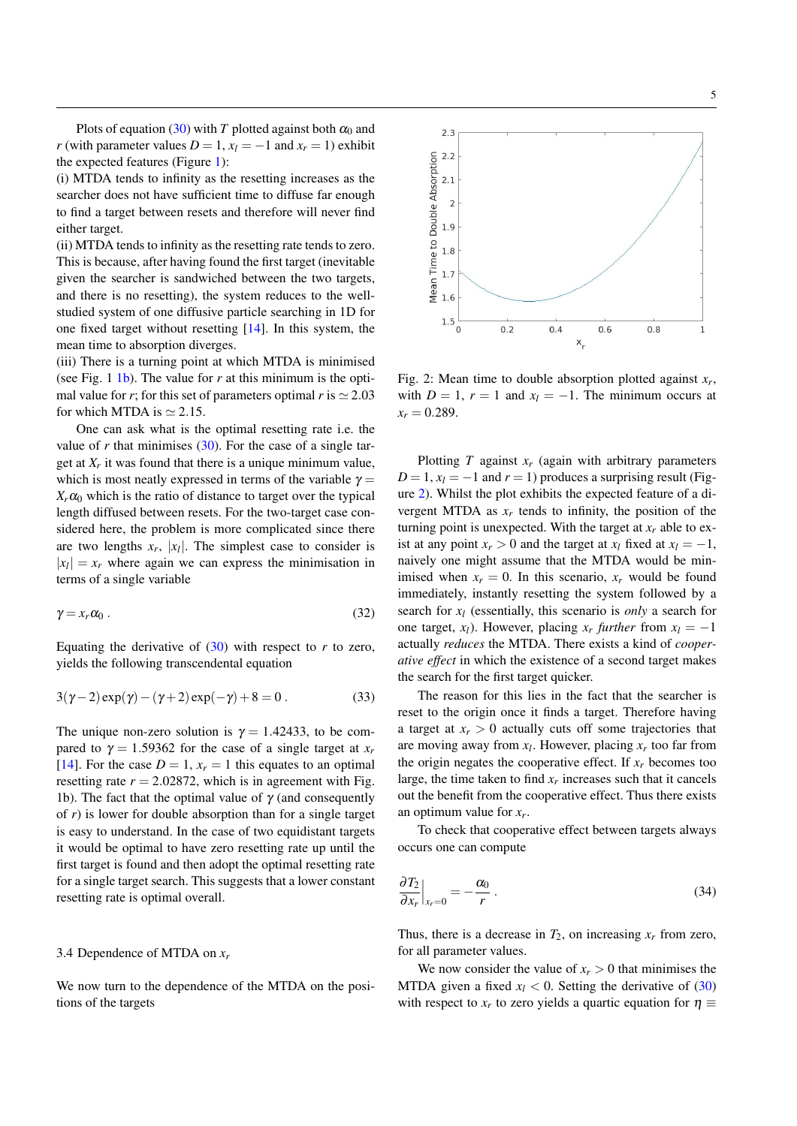Plots of equation [\(30\)](#page-3-2) with *T* plotted against both  $\alpha_0$  and *r* (with parameter values  $D = 1$ ,  $x_l = -1$  and  $x_r = 1$ ) exhibit the expected features (Figure [1\)](#page-3-3):

(i) MTDA tends to infinity as the resetting increases as the searcher does not have sufficient time to diffuse far enough to find a target between resets and therefore will never find either target.

(ii) MTDA tends to infinity as the resetting rate tends to zero. This is because, after having found the first target (inevitable given the searcher is sandwiched between the two targets, and there is no resetting), the system reduces to the wellstudied system of one diffusive particle searching in 1D for one fixed target without resetting [\[14\]](#page-7-9). In this system, the mean time to absorption diverges.

(iii) There is a turning point at which MTDA is minimised (see Fig. 1  $1b$ ). The value for *r* at this minimum is the optimal value for *r*; for this set of parameters optimal *r* is  $\simeq 2.03$ for which MTDA is  $\simeq$  2.15.

One can ask what is the optimal resetting rate i.e. the value of  $r$  that minimises  $(30)$ . For the case of a single target at *X<sup>r</sup>* it was found that there is a unique minimum value, which is most neatly expressed in terms of the variable  $\gamma =$  $X_r \alpha_0$  which is the ratio of distance to target over the typical length diffused between resets. For the two-target case considered here, the problem is more complicated since there are two lengths  $x_r$ ,  $|x_l|$ . The simplest case to consider is  $|x_l| = x_r$  where again we can express the minimisation in terms of a single variable

$$
\gamma = x_r \alpha_0 \,. \tag{32}
$$

Equating the derivative of  $(30)$  with respect to *r* to zero, yields the following transcendental equation

$$
3(\gamma - 2) \exp(\gamma) - (\gamma + 2) \exp(-\gamma) + 8 = 0.
$$
 (33)

The unique non-zero solution is  $\gamma = 1.42433$ , to be compared to  $\gamma = 1.59362$  for the case of a single target at  $x_r$ [\[14\]](#page-7-9). For the case  $D = 1$ ,  $x_r = 1$  this equates to an optimal resetting rate  $r = 2.02872$ , which is in agreement with Fig. 1b). The fact that the optimal value of  $\gamma$  (and consequently of *r*) is lower for double absorption than for a single target is easy to understand. In the case of two equidistant targets it would be optimal to have zero resetting rate up until the first target is found and then adopt the optimal resetting rate for a single target search. This suggests that a lower constant resetting rate is optimal overall.

#### 3.4 Dependence of MTDA on *x<sup>r</sup>*

We now turn to the dependence of the MTDA on the positions of the targets

<span id="page-4-0"></span>

Fig. 2: Mean time to double absorption plotted against  $x_r$ , with  $D = 1$ ,  $r = 1$  and  $x_l = -1$ . The minimum occurs at  $x_r = 0.289$ .

Plotting *T* against *x<sup>r</sup>* (again with arbitrary parameters  $D = 1$ ,  $x_l = -1$  and  $r = 1$ ) produces a surprising result (Figure [2\)](#page-4-0). Whilst the plot exhibits the expected feature of a divergent MTDA as  $x_r$  tends to infinity, the position of the turning point is unexpected. With the target at  $x_r$  able to exist at any point  $x_r > 0$  and the target at  $x_l$  fixed at  $x_l = -1$ , naively one might assume that the MTDA would be minimised when  $x_r = 0$ . In this scenario,  $x_r$  would be found immediately, instantly resetting the system followed by a search for *x<sup>l</sup>* (essentially, this scenario is *only* a search for one target, *x*<sub>*l*</sub>). However, placing *x<sub>r</sub>* further from  $x_l = -1$ actually *reduces* the MTDA. There exists a kind of *cooperative effect* in which the existence of a second target makes the search for the first target quicker.

The reason for this lies in the fact that the searcher is reset to the origin once it finds a target. Therefore having a target at  $x_r > 0$  actually cuts off some trajectories that are moving away from  $x_l$ . However, placing  $x_r$  too far from the origin negates the cooperative effect. If  $x_r$  becomes too large, the time taken to find  $x_r$  increases such that it cancels out the benefit from the cooperative effect. Thus there exists an optimum value for *x<sup>r</sup>* .

To check that cooperative effect between targets always occurs one can compute

$$
\left. \frac{\partial T_2}{\partial x_r} \right|_{x_r=0} = -\frac{\alpha_0}{r} \ . \tag{34}
$$

Thus, there is a decrease in  $T_2$ , on increasing  $x_r$  from zero, for all parameter values.

We now consider the value of  $x_r > 0$  that minimises the MTDA given a fixed  $x_l$  < 0. Setting the derivative of [\(30\)](#page-3-2) with respect to  $x_r$  to zero yields a quartic equation for  $\eta \equiv$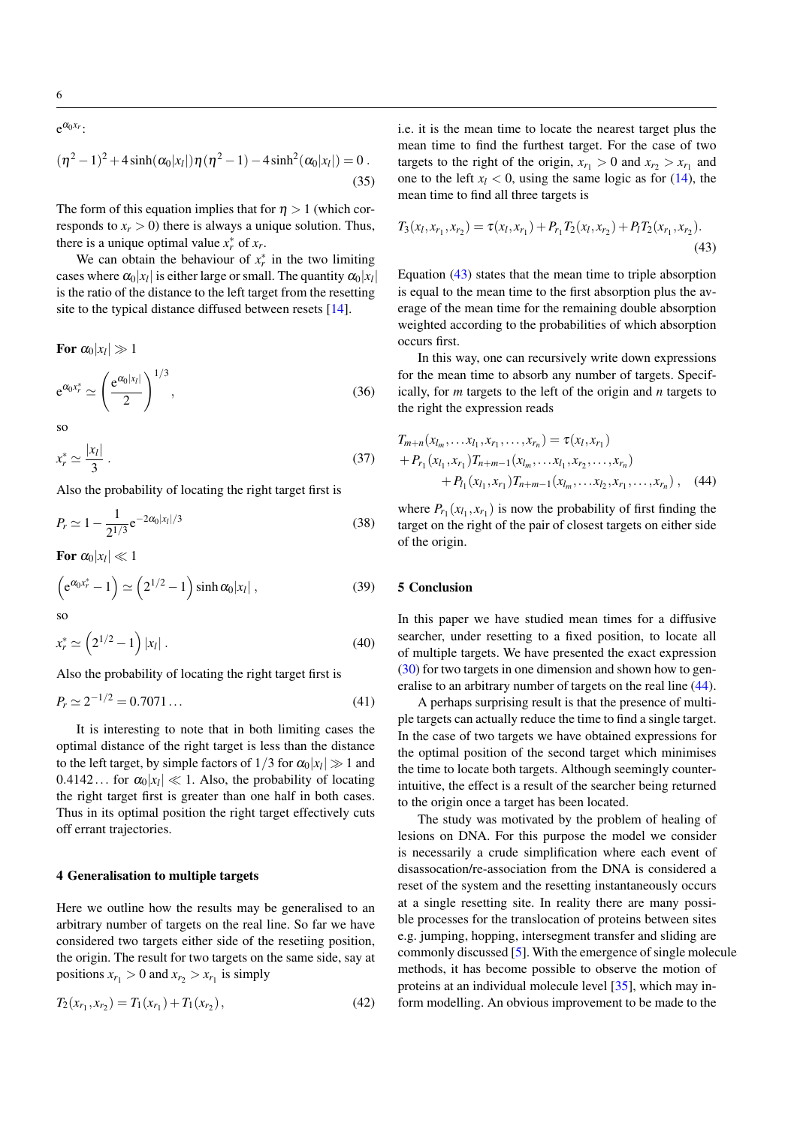6

 $e^{\alpha_0 x_r}$ :

$$
(\eta^2 - 1)^2 + 4\sinh(\alpha_0|x_l|)\eta(\eta^2 - 1) - 4\sinh^2(\alpha_0|x_l|) = 0.
$$
\n(35)

The form of this equation implies that for  $\eta > 1$  (which corresponds to  $x_r > 0$ ) there is always a unique solution. Thus, there is a unique optimal value  $x_r^*$  of  $x_r$ .

We can obtain the behaviour of  $x_r^*$  in the two limiting cases where  $\alpha_0 |x_l|$  is either large or small. The quantity  $\alpha_0 |x_l|$ is the ratio of the distance to the left target from the resetting site to the typical distance diffused between resets [\[14\]](#page-7-9).

For  $\alpha_0|x_l|\gg 1$  $e^{\alpha_0 x_r^*} \simeq$  $\int e^{\alpha_0 |x_l|}$ 2  $\setminus$ <sup>1/3</sup>  $(36)$ 

so

$$
x_r^* \simeq \frac{|x_l|}{3} \,. \tag{37}
$$

Also the probability of locating the right target first is

$$
P_r \simeq 1 - \frac{1}{2^{1/3}} e^{-2\alpha_0 |x_l|/3} \tag{38}
$$

For  $\alpha_0|x_l|\ll 1$ 

$$
\left(e^{\alpha_0 x_r^*} - 1\right) \simeq \left(2^{1/2} - 1\right) \sinh \alpha_0 |x_l| \,,\tag{39}
$$

so

$$
x_r^* \simeq \left(2^{1/2} - 1\right) |x_l| \,. \tag{40}
$$

Also the probability of locating the right target first is

$$
P_r \simeq 2^{-1/2} = 0.7071\ldots\tag{41}
$$

It is interesting to note that in both limiting cases the optimal distance of the right target is less than the distance to the left target, by simple factors of  $1/3$  for  $\alpha_0|x_l|\gg 1$  and  $0.4142...$  for  $\alpha_0|x_l|\ll 1$ . Also, the probability of locating the right target first is greater than one half in both cases. Thus in its optimal position the right target effectively cuts off errant trajectories.

# 4 Generalisation to multiple targets

Here we outline how the results may be generalised to an arbitrary number of targets on the real line. So far we have considered two targets either side of the resetiing position, the origin. The result for two targets on the same side, say at positions  $x_{r_1} > 0$  and  $x_{r_2} > x_{r_1}$  is simply

$$
T_2(x_{r_1}, x_{r_2}) = T_1(x_{r_1}) + T_1(x_{r_2}), \qquad (42)
$$

i.e. it is the mean time to locate the nearest target plus the mean time to find the furthest target. For the case of two targets to the right of the origin,  $x_{r_1} > 0$  and  $x_{r_2} > x_{r_1}$  and one to the left  $x_l$  < 0, using the same logic as for [\(14\)](#page-2-4), the mean time to find all three targets is

<span id="page-5-0"></span>
$$
T_3(x_l, x_{r_1}, x_{r_2}) = \tau(x_l, x_{r_1}) + P_{r_1} T_2(x_l, x_{r_2}) + P_l T_2(x_{r_1}, x_{r_2}).
$$
\n(43)

Equation [\(43\)](#page-5-0) states that the mean time to triple absorption is equal to the mean time to the first absorption plus the average of the mean time for the remaining double absorption weighted according to the probabilities of which absorption occurs first.

In this way, one can recursively write down expressions for the mean time to absorb any number of targets. Specifically, for *m* targets to the left of the origin and *n* targets to the right the expression reads

<span id="page-5-1"></span>
$$
T_{m+n}(x_{l_m},\ldots,x_{l_1},x_{r_1},\ldots,x_{r_n}) = \tau(x_l,x_{r_1})
$$
  
+  $P_{r_1}(x_{l_1},x_{r_1})T_{n+m-1}(x_{l_m},\ldots,x_{l_1},x_{r_2},\ldots,x_{r_n})$   
+  $P_{l_1}(x_{l_1},x_{r_1})T_{n+m-1}(x_{l_m},\ldots,x_{l_2},x_{r_1},\ldots,x_{r_n}),$  (44)

where  $P_{r_1}(x_{l_1}, x_{r_1})$  is now the probability of first finding the target on the right of the pair of closest targets on either side of the origin.

#### 5 Conclusion

In this paper we have studied mean times for a diffusive searcher, under resetting to a fixed position, to locate all of multiple targets. We have presented the exact expression [\(30\)](#page-3-2) for two targets in one dimension and shown how to generalise to an arbitrary number of targets on the real line [\(44\)](#page-5-1).

A perhaps surprising result is that the presence of multiple targets can actually reduce the time to find a single target. In the case of two targets we have obtained expressions for the optimal position of the second target which minimises the time to locate both targets. Although seemingly counterintuitive, the effect is a result of the searcher being returned to the origin once a target has been located.

The study was motivated by the problem of healing of lesions on DNA. For this purpose the model we consider is necessarily a crude simplification where each event of disassocation/re-association from the DNA is considered a reset of the system and the resetting instantaneously occurs at a single resetting site. In reality there are many possible processes for the translocation of proteins between sites e.g. jumping, hopping, intersegment transfer and sliding are commonly discussed [\[5\]](#page-7-3). With the emergence of single molecule methods, it has become possible to observe the motion of proteins at an individual molecule level [\[35\]](#page-8-0), which may inform modelling. An obvious improvement to be made to the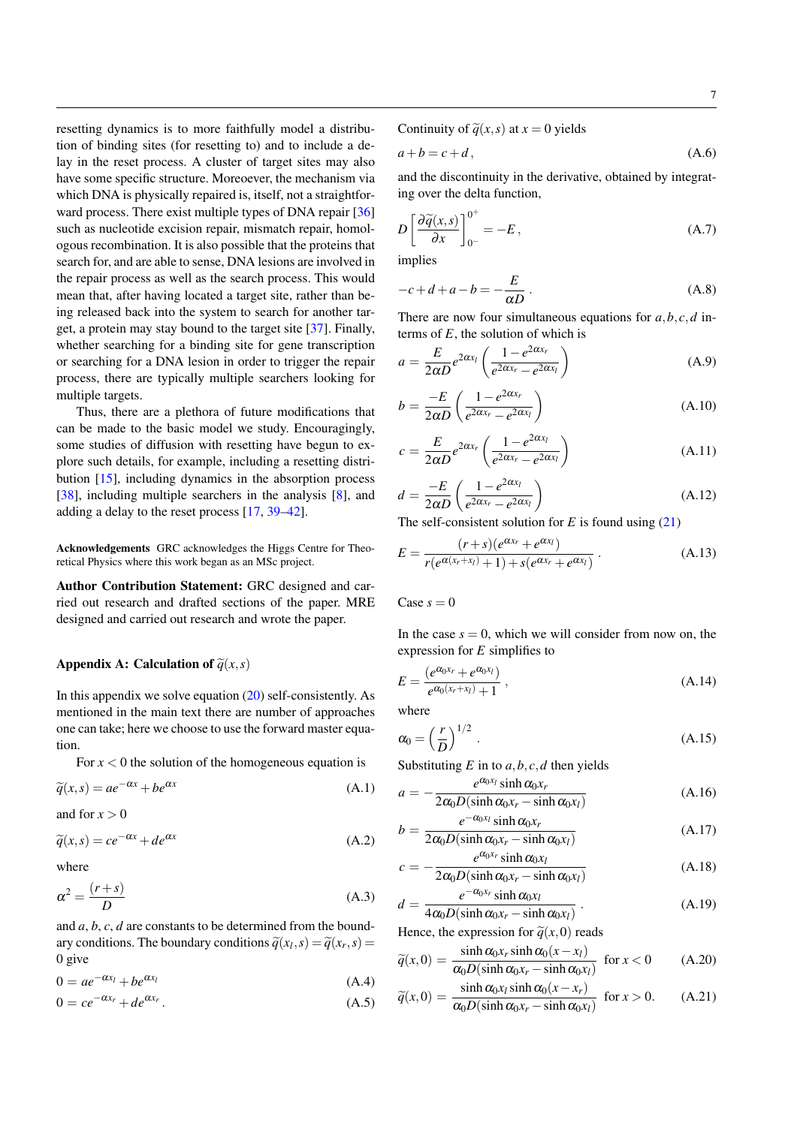resetting dynamics is to more faithfully model a distribution of binding sites (for resetting to) and to include a delay in the reset process. A cluster of target sites may also have some specific structure. Moreoever, the mechanism via which DNA is physically repaired is, itself, not a straightforward process. There exist multiple types of DNA repair [\[36\]](#page-8-1) such as nucleotide excision repair, mismatch repair, homologous recombination. It is also possible that the proteins that search for, and are able to sense, DNA lesions are involved in the repair process as well as the search process. This would mean that, after having located a target site, rather than being released back into the system to search for another target, a protein may stay bound to the target site [\[37\]](#page-8-2). Finally, whether searching for a binding site for gene transcription or searching for a DNA lesion in order to trigger the repair process, there are typically multiple searchers looking for multiple targets.

Thus, there are a plethora of future modifications that can be made to the basic model we study. Encouragingly, some studies of diffusion with resetting have begun to explore such details, for example, including a resetting distribution [\[15\]](#page-7-10), including dynamics in the absorption process [\[38\]](#page-8-3), including multiple searchers in the analysis [\[8\]](#page-7-28), and adding a delay to the reset process [\[17,](#page-7-12) [39](#page-8-4)[–42\]](#page-8-5).

Acknowledgements GRC acknowledges the Higgs Centre for Theoretical Physics where this work began as an MSc project.

Author Contribution Statement: GRC designed and carried out research and drafted sections of the paper. MRE designed and carried out research and wrote the paper.

## Appendix A: Calculation of  $\tilde{q}(x,s)$

In this appendix we solve equation  $(20)$  self-consistently. As mentioned in the main text there are number of approaches one can take; here we choose to use the forward master equation.

For  $x < 0$  the solution of the homogeneous equation is

$$
\widetilde{q}(x,s) = ae^{-\alpha x} + be^{\alpha x} \tag{A.1}
$$

and for  $x > 0$ 

$$
\widetilde{q}(x,s) = ce^{-\alpha x} + de^{\alpha x} \tag{A.2}
$$

<span id="page-6-0"></span>where

$$
\alpha^2 = \frac{(r+s)}{D} \tag{A.3}
$$

and *a*, *b*, *c*, *d* are constants to be determined from the boundary conditions. The boundary conditions  $\widetilde{q}(x_l, s) = \widetilde{q}(x_r, s) = 0$ 0 give

$$
0 = ae^{-\alpha x_l} + be^{\alpha x_l} \tag{A.4}
$$

$$
0 = ce^{-\alpha x_r} + de^{\alpha x_r}.
$$
 (A.5)

Continuity of  $\tilde{q}(x, s)$  at  $x = 0$  yields

$$
a+b=c+d, \tag{A.6}
$$

and the discontinuity in the derivative, obtained by integrating over the delta function,

$$
D\left[\frac{\partial \widetilde{q}(x,s)}{\partial x}\right]_{0^{-}}^{0^{+}} = -E, \qquad (A.7)
$$

implies

$$
-c + d + a - b = -\frac{E}{\alpha D} \,. \tag{A.8}
$$

There are now four simultaneous equations for *a*,*b*, *c*,*d* interms of *E*, the solution of which is

$$
a = \frac{E}{2\alpha D} e^{2\alpha x_l} \left( \frac{1 - e^{2\alpha x_r}}{e^{2\alpha x_r} - e^{2\alpha x_l}} \right)
$$
(A.9)

$$
b = \frac{-E}{2\alpha D} \left( \frac{1 - e^{2\alpha x_r}}{e^{2\alpha x_r} - e^{2\alpha x_l}} \right)
$$
(A.10)

$$
c = \frac{E}{2\alpha D} e^{2\alpha x_r} \left( \frac{1 - e^{2\alpha x_l}}{e^{2\alpha x_r} - e^{2\alpha x_l}} \right)
$$
(A.11)

$$
d = \frac{-E}{2\alpha D} \left( \frac{1 - e^{2\alpha x_l}}{e^{2\alpha x_r} - e^{2\alpha x_l}} \right) \tag{A.12}
$$

The self-consistent solution for *E* is found using [\(21\)](#page-3-0)

$$
E = \frac{(r+s)(e^{\alpha x_r} + e^{\alpha x_l})}{r(e^{\alpha(x_r + x_l)} + 1) + s(e^{\alpha x_r} + e^{\alpha x_l})}
$$
 (A.13)

 $\text{Case } s = 0$ 

In the case  $s = 0$ , which we will consider from now on, the expression for *E* simplifies to

$$
E = \frac{(e^{\alpha_0 x_r} + e^{\alpha_0 x_l})}{e^{\alpha_0 (x_r + x_l)} + 1},
$$
\n(A.14)

where

$$
\alpha_0 = \left(\frac{r}{D}\right)^{1/2} \,. \tag{A.15}
$$

Substituting  $E$  in to  $a, b, c, d$  then yields

$$
a = -\frac{e^{\alpha_0 x_l} \sinh \alpha_0 x_r}{2\alpha_0 D(\sinh \alpha_0 x_r - \sinh \alpha_0 x_l)}
$$
(A.16)

$$
b = \frac{e^{-\alpha_0 x_l} \sinh \alpha_0 x_r}{2\alpha_0 D(\sinh \alpha_0 x_r - \sinh \alpha_0 x_l)}
$$
(A.17)

$$
c = -\frac{e^{\alpha_0 x_r} \sinh \alpha_0 x_l}{2\alpha_0 D(\sinh \alpha_0 x_r - \sinh \alpha_0 x_l)}
$$
(A.18)

$$
d = \frac{e^{-\alpha_0 x_r} \sinh \alpha_0 x_l}{4\alpha_0 D(\sinh \alpha_0 x_r - \sinh \alpha_0 x_l)}.
$$
 (A.19)

Hence, the expression for  $\tilde{q}(x,0)$  reads

$$
\widetilde{q}(x,0) = \frac{\sinh \alpha_0 x_r \sinh \alpha_0 (x - x_l)}{\alpha_0 D(\sinh \alpha_0 x_r - \sinh \alpha_0 x_l)} \text{ for } x < 0 \quad (A.20)
$$

$$
\widetilde{q}(x,0) = \frac{\sinh \alpha_0 x_l \sinh \alpha_0 (x - x_r)}{\alpha_0 D(\sinh \alpha_0 x_r - \sinh \alpha_0 x_l)} \text{ for } x > 0. \quad (A.21)
$$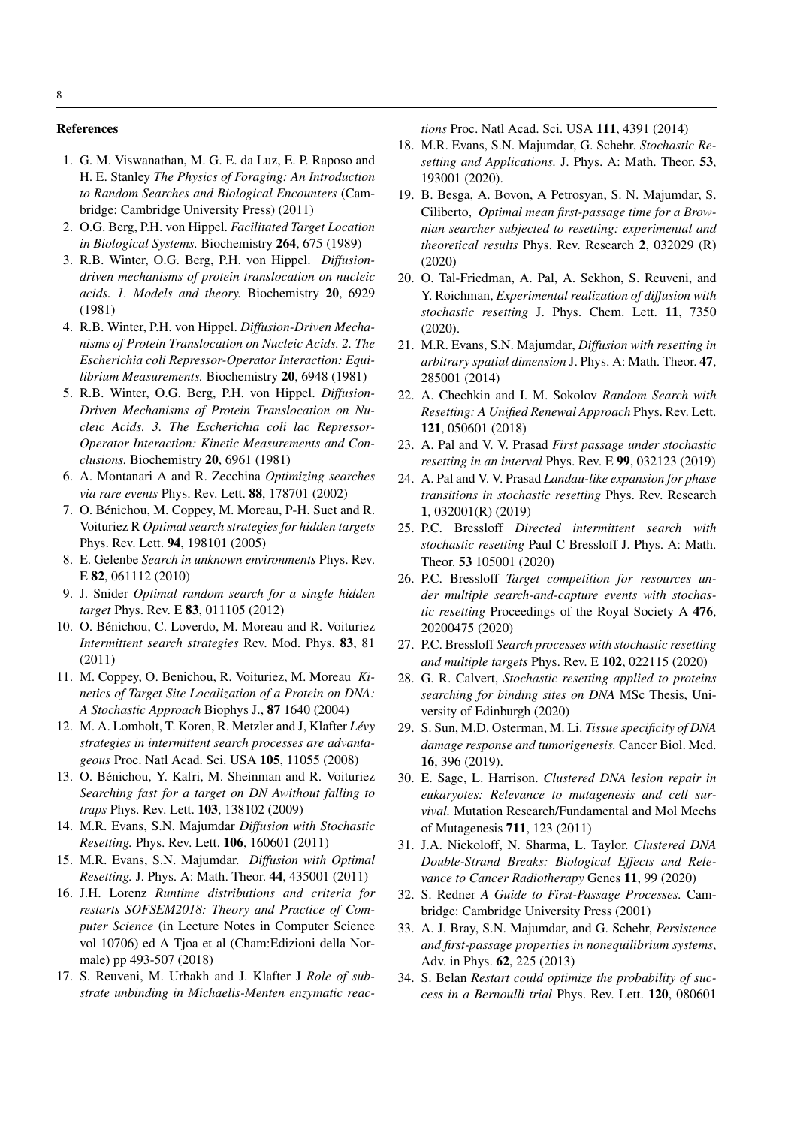#### References

- <span id="page-7-0"></span>1. G. M. Viswanathan, M. G. E. da Luz, E. P. Raposo and H. E. Stanley *The Physics of Foraging: An Introduction to Random Searches and Biological Encounters* (Cambridge: Cambridge University Press) (2011)
- <span id="page-7-1"></span>2. O.G. Berg, P.H. von Hippel. *Facilitated Target Location in Biological Systems.* Biochemistry 264, 675 (1989)
- <span id="page-7-2"></span>3. R.B. Winter, O.G. Berg, P.H. von Hippel. *Diffusiondriven mechanisms of protein translocation on nucleic acids. 1. Models and theory.* Biochemistry 20, 6929 (1981)
- 4. R.B. Winter, P.H. von Hippel. *Diffusion-Driven Mechanisms of Protein Translocation on Nucleic Acids. 2. The Escherichia coli Repressor-Operator Interaction: Equilibrium Measurements.* Biochemistry 20, 6948 (1981)
- <span id="page-7-3"></span>5. R.B. Winter, O.G. Berg, P.H. von Hippel. *Diffusion-Driven Mechanisms of Protein Translocation on Nucleic Acids. 3. The Escherichia coli lac Repressor-Operator Interaction: Kinetic Measurements and Conclusions.* Biochemistry 20, 6961 (1981)
- <span id="page-7-4"></span>6. A. Montanari A and R. Zecchina *Optimizing searches via rare events* Phys. Rev. Lett. 88, 178701 (2002)
- 7. O. Bénichou, M. Coppey, M. Moreau, P-H. Suet and R. Voituriez R *Optimal search strategies for hidden targets* Phys. Rev. Lett. 94, 198101 (2005)
- <span id="page-7-28"></span>8. E. Gelenbe *Search in unknown environments* Phys. Rev. E 82, 061112 (2010)
- <span id="page-7-5"></span>9. J. Snider *Optimal random search for a single hidden target* Phys. Rev. E 83, 011105 (2012)
- <span id="page-7-6"></span>10. O. Bénichou, C. Loverdo, M. Moreau and R. Voituriez *Intermittent search strategies* Rev. Mod. Phys. 83, 81 (2011)
- <span id="page-7-7"></span>11. M. Coppey, O. Benichou, R. Voituriez, M. Moreau *Kinetics of Target Site Localization of a Protein on DNA: A Stochastic Approach* Biophys J., 87 1640 (2004)
- 12. M. A. Lomholt, T. Koren, R. Metzler and J, Klafter *Lévy strategies in intermittent search processes are advantageous* Proc. Natl Acad. Sci. USA 105, 11055 (2008)
- <span id="page-7-8"></span>13. O. Bénichou, Y. Kafri, M. Sheinman and R. Voituriez *Searching fast for a target on DN Awithout falling to traps* Phys. Rev. Lett. 103, 138102 (2009)
- <span id="page-7-9"></span>14. M.R. Evans, S.N. Majumdar *Diffusion with Stochastic Resetting.* Phys. Rev. Lett. 106, 160601 (2011)
- <span id="page-7-10"></span>15. M.R. Evans, S.N. Majumdar. *Diffusion with Optimal Resetting.* J. Phys. A: Math. Theor. 44, 435001 (2011)
- <span id="page-7-11"></span>16. J.H. Lorenz *Runtime distributions and criteria for restarts SOFSEM2018: Theory and Practice of Computer Science* (in Lecture Notes in Computer Science vol 10706) ed A Tjoa et al (Cham:Edizioni della Normale) pp 493-507 (2018)
- <span id="page-7-12"></span>17. S. Reuveni, M. Urbakh and J. Klafter J *Role of substrate unbinding in Michaelis-Menten enzymatic reac-*

*tions* Proc. Natl Acad. Sci. USA 111, 4391 (2014)

- <span id="page-7-13"></span>18. M.R. Evans, S.N. Majumdar, G. Schehr. *Stochastic Resetting and Applications.* J. Phys. A: Math. Theor. 53, 193001 (2020).
- <span id="page-7-14"></span>19. B. Besga, A. Bovon, A Petrosyan, S. N. Majumdar, S. Ciliberto, *Optimal mean first-passage time for a Brownian searcher subjected to resetting: experimental and theoretical results* Phys. Rev. Research 2, 032029 (R) (2020)
- <span id="page-7-15"></span>20. O. Tal-Friedman, A. Pal, A. Sekhon, S. Reuveni, and Y. Roichman, *Experimental realization of diffusion with stochastic resetting* J. Phys. Chem. Lett. 11, 7350 (2020).
- <span id="page-7-16"></span>21. M.R. Evans, S.N. Majumdar, *Diffusion with resetting in arbitrary spatial dimension* J. Phys. A: Math. Theor. 47, 285001 (2014)
- <span id="page-7-17"></span>22. A. Chechkin and I. M. Sokolov *Random Search with Resetting: A Unified Renewal Approach* Phys. Rev. Lett. 121, 050601 (2018)
- <span id="page-7-18"></span>23. A. Pal and V. V. Prasad *First passage under stochastic resetting in an interval* Phys. Rev. E 99, 032123 (2019)
- <span id="page-7-24"></span>24. A. Pal and V. V. Prasad *Landau-like expansion for phase transitions in stochastic resetting* Phys. Rev. Research 1, 032001(R) (2019)
- <span id="page-7-19"></span>25. P.C. Bressloff *Directed intermittent search with stochastic resetting* Paul C Bressloff J. Phys. A: Math. Theor. 53 105001 (2020)
- 26. P.C. Bressloff *Target competition for resources under multiple search-and-capture events with stochastic resetting* Proceedings of the Royal Society A 476, 20200475 (2020)
- <span id="page-7-20"></span>27. P.C. Bressloff *Search processes with stochastic resetting and multiple targets* Phys. Rev. E 102, 022115 (2020)
- <span id="page-7-21"></span>28. G. R. Calvert, *Stochastic resetting applied to proteins searching for binding sites on DNA* MSc Thesis, University of Edinburgh (2020)
- <span id="page-7-22"></span>29. S. Sun, M.D. Osterman, M. Li. *Tissue specificity of DNA damage response and tumorigenesis.* Cancer Biol. Med. 16, 396 (2019).
- 30. E. Sage, L. Harrison. *Clustered DNA lesion repair in eukaryotes: Relevance to mutagenesis and cell survival.* Mutation Research/Fundamental and Mol Mechs of Mutagenesis 711, 123 (2011)
- <span id="page-7-23"></span>31. J.A. Nickoloff, N. Sharma, L. Taylor. *Clustered DNA Double-Strand Breaks: Biological Effects and Relevance to Cancer Radiotherapy* Genes 11, 99 (2020)
- <span id="page-7-25"></span>32. S. Redner *A Guide to First-Passage Processes.* Cambridge: Cambridge University Press (2001)
- <span id="page-7-26"></span>33. A. J. Bray, S.N. Majumdar, and G. Schehr, *Persistence and first-passage properties in nonequilibrium systems*, Adv. in Phys. 62, 225 (2013)
- <span id="page-7-27"></span>34. S. Belan *Restart could optimize the probability of success in a Bernoulli trial* Phys. Rev. Lett. 120, 080601